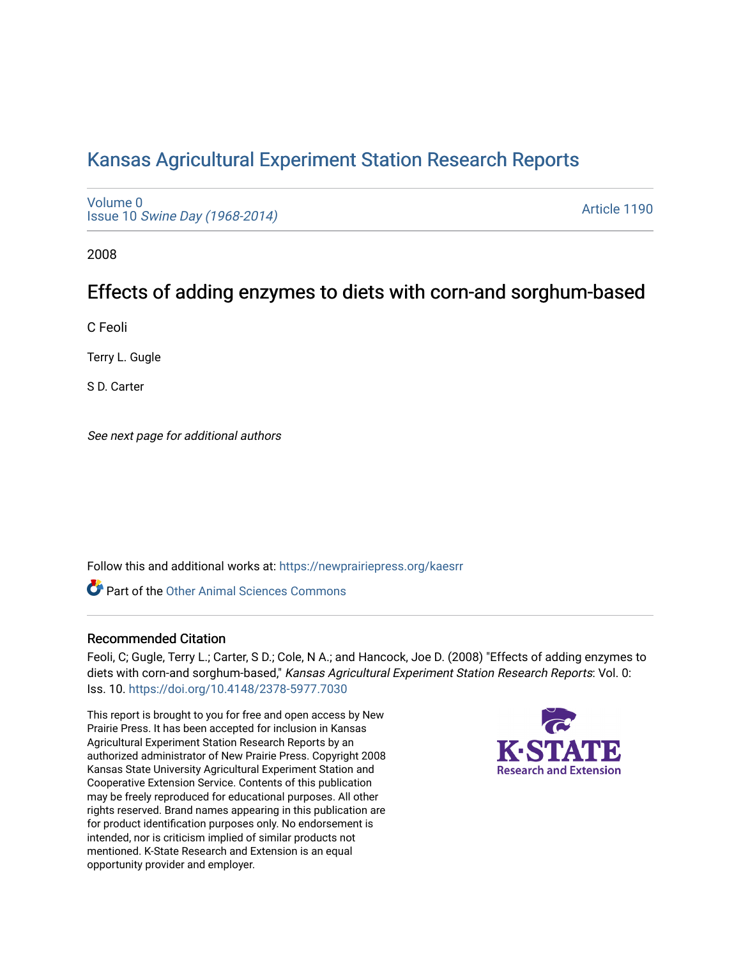# [Kansas Agricultural Experiment Station Research Reports](https://newprairiepress.org/kaesrr)

[Volume 0](https://newprairiepress.org/kaesrr/vol0) Issue 10 [Swine Day \(1968-2014\)](https://newprairiepress.org/kaesrr/vol0/iss10)

[Article 1190](https://newprairiepress.org/kaesrr/vol0/iss10/1190) 

2008

## Effects of adding enzymes to diets with corn-and sorghum-based

C Feoli

Terry L. Gugle

S D. Carter

See next page for additional authors

Follow this and additional works at: [https://newprairiepress.org/kaesrr](https://newprairiepress.org/kaesrr?utm_source=newprairiepress.org%2Fkaesrr%2Fvol0%2Fiss10%2F1190&utm_medium=PDF&utm_campaign=PDFCoverPages) 

**C** Part of the [Other Animal Sciences Commons](http://network.bepress.com/hgg/discipline/82?utm_source=newprairiepress.org%2Fkaesrr%2Fvol0%2Fiss10%2F1190&utm_medium=PDF&utm_campaign=PDFCoverPages)

#### Recommended Citation

Feoli, C; Gugle, Terry L.; Carter, S D.; Cole, N A.; and Hancock, Joe D. (2008) "Effects of adding enzymes to diets with corn-and sorghum-based," Kansas Agricultural Experiment Station Research Reports: Vol. 0: Iss. 10.<https://doi.org/10.4148/2378-5977.7030>

This report is brought to you for free and open access by New Prairie Press. It has been accepted for inclusion in Kansas Agricultural Experiment Station Research Reports by an authorized administrator of New Prairie Press. Copyright 2008 Kansas State University Agricultural Experiment Station and Cooperative Extension Service. Contents of this publication may be freely reproduced for educational purposes. All other rights reserved. Brand names appearing in this publication are for product identification purposes only. No endorsement is intended, nor is criticism implied of similar products not mentioned. K-State Research and Extension is an equal opportunity provider and employer.

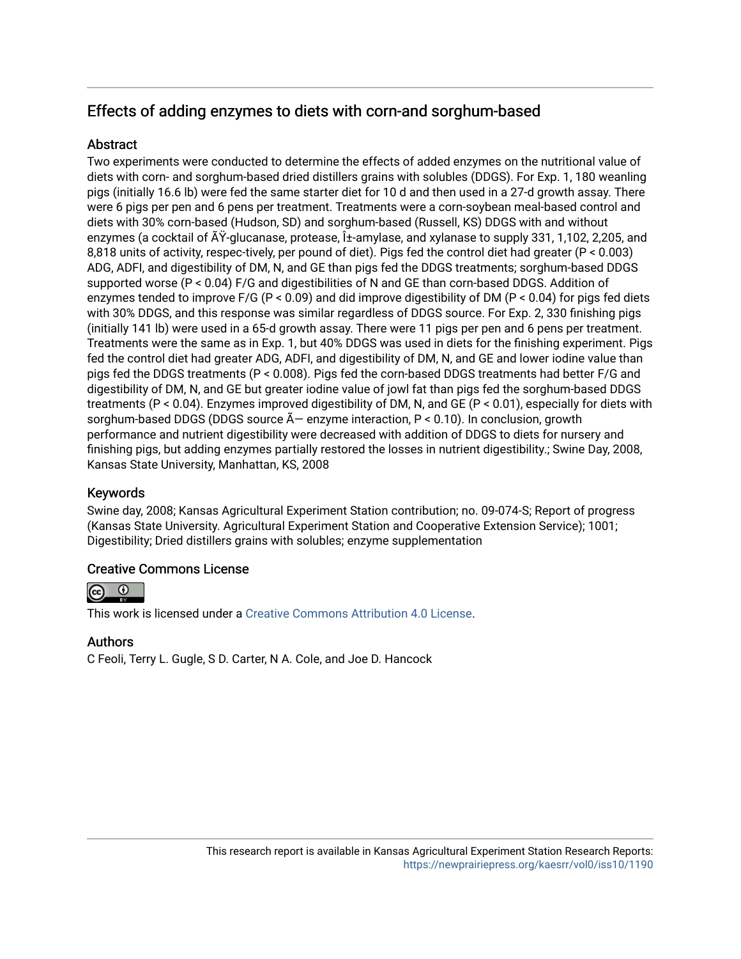## Effects of adding enzymes to diets with corn-and sorghum-based

## **Abstract**

Two experiments were conducted to determine the effects of added enzymes on the nutritional value of diets with corn- and sorghum-based dried distillers grains with solubles (DDGS). For Exp. 1, 180 weanling pigs (initially 16.6 lb) were fed the same starter diet for 10 d and then used in a 27-d growth assay. There were 6 pigs per pen and 6 pens per treatment. Treatments were a corn-soybean meal-based control and diets with 30% corn-based (Hudson, SD) and sorghum-based (Russell, KS) DDGS with and without enzymes (a cocktail of ß-glucanase, protease, α-amylase, and xylanase to supply 331, 1,102, 2,205, and 8,818 units of activity, respec-tively, per pound of diet). Pigs fed the control diet had greater (P < 0.003) ADG, ADFI, and digestibility of DM, N, and GE than pigs fed the DDGS treatments; sorghum-based DDGS supported worse (P < 0.04) F/G and digestibilities of N and GE than corn-based DDGS. Addition of enzymes tended to improve F/G (P < 0.09) and did improve digestibility of DM (P < 0.04) for pigs fed diets with 30% DDGS, and this response was similar regardless of DDGS source. For Exp. 2, 330 finishing pigs (initially 141 lb) were used in a 65-d growth assay. There were 11 pigs per pen and 6 pens per treatment. Treatments were the same as in Exp. 1, but 40% DDGS was used in diets for the finishing experiment. Pigs fed the control diet had greater ADG, ADFI, and digestibility of DM, N, and GE and lower iodine value than pigs fed the DDGS treatments (P < 0.008). Pigs fed the corn-based DDGS treatments had better F/G and digestibility of DM, N, and GE but greater iodine value of jowl fat than pigs fed the sorghum-based DDGS treatments (P < 0.04). Enzymes improved digestibility of DM, N, and GE (P < 0.01), especially for diets with sorghum-based DDGS (DDGS source  $\tilde{A}$  enzyme interaction, P < 0.10). In conclusion, growth performance and nutrient digestibility were decreased with addition of DDGS to diets for nursery and finishing pigs, but adding enzymes partially restored the losses in nutrient digestibility.; Swine Day, 2008, Kansas State University, Manhattan, KS, 2008

## Keywords

Swine day, 2008; Kansas Agricultural Experiment Station contribution; no. 09-074-S; Report of progress (Kansas State University. Agricultural Experiment Station and Cooperative Extension Service); 1001; Digestibility; Dried distillers grains with solubles; enzyme supplementation

## Creative Commons License



This work is licensed under a [Creative Commons Attribution 4.0 License](https://creativecommons.org/licenses/by/4.0/).

## Authors

C Feoli, Terry L. Gugle, S D. Carter, N A. Cole, and Joe D. Hancock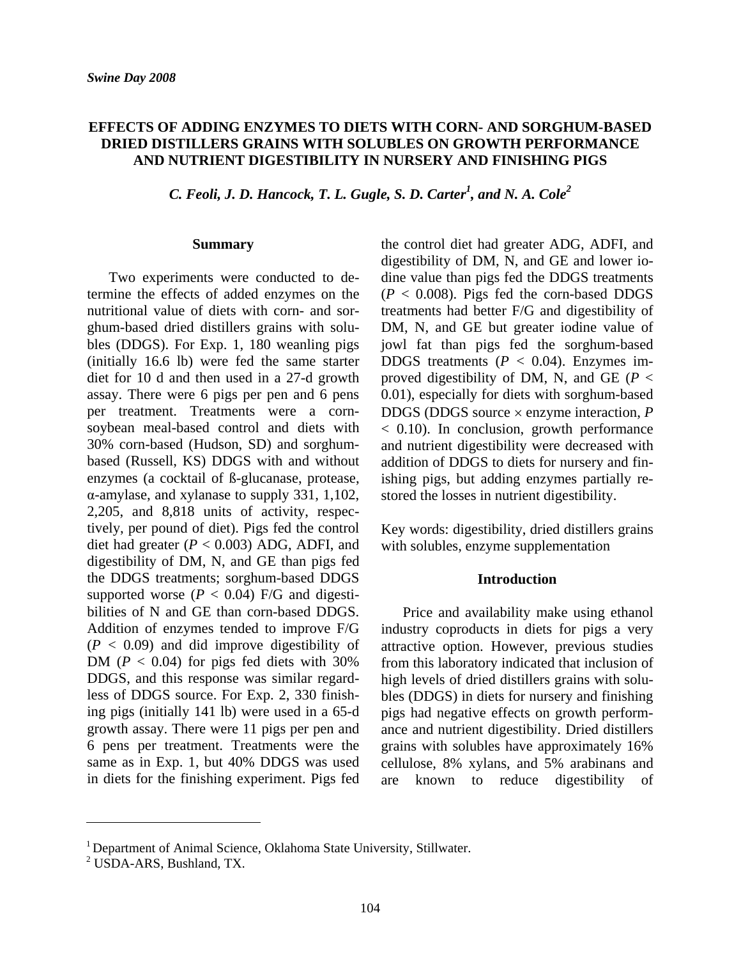### **EFFECTS OF ADDING ENZYMES TO DIETS WITH CORN- AND SORGHUM-BASED DRIED DISTILLERS GRAINS WITH SOLUBLES ON GROWTH PERFORMANCE AND NUTRIENT DIGESTIBILITY IN NURSERY AND FINISHING PIGS**

*C. Feoli, J. D. Hancock, T. L. Gugle, S. D. Carter<sup>1</sup>, and N. A. Cole<sup>2</sup>* 

#### **Summary**

Two experiments were conducted to determine the effects of added enzymes on the nutritional value of diets with corn- and sorghum-based dried distillers grains with solubles (DDGS). For Exp. 1, 180 weanling pigs (initially 16.6 lb) were fed the same starter diet for 10 d and then used in a 27-d growth assay. There were 6 pigs per pen and 6 pens per treatment. Treatments were a cornsoybean meal-based control and diets with 30% corn-based (Hudson, SD) and sorghumbased (Russell, KS) DDGS with and without enzymes (a cocktail of ß-glucanase, protease, α-amylase, and xylanase to supply 331, 1,102, 2,205, and 8,818 units of activity, respectively, per pound of diet). Pigs fed the control diet had greater  $(P < 0.003)$  ADG, ADFI, and digestibility of DM, N, and GE than pigs fed the DDGS treatments; sorghum-based DDGS supported worse  $(P < 0.04)$  F/G and digestibilities of N and GE than corn-based DDGS. Addition of enzymes tended to improve F/G  $(P < 0.09)$  and did improve digestibility of DM  $(P < 0.04)$  for pigs fed diets with 30% DDGS, and this response was similar regardless of DDGS source. For Exp. 2, 330 finishing pigs (initially 141 lb) were used in a 65-d growth assay. There were 11 pigs per pen and 6 pens per treatment. Treatments were the same as in Exp. 1, but 40% DDGS was used in diets for the finishing experiment. Pigs fed the control diet had greater ADG, ADFI, and digestibility of DM, N, and GE and lower iodine value than pigs fed the DDGS treatments  $(P < 0.008)$ . Pigs fed the corn-based DDGS treatments had better F/G and digestibility of DM, N, and GE but greater iodine value of jowl fat than pigs fed the sorghum-based DDGS treatments  $(P < 0.04)$ . Enzymes improved digestibility of DM, N, and GE (*P* < 0.01), especially for diets with sorghum-based DDGS (DDGS source × enzyme interaction, *P* < 0.10). In conclusion, growth performance and nutrient digestibility were decreased with addition of DDGS to diets for nursery and finishing pigs, but adding enzymes partially restored the losses in nutrient digestibility.

Key words: digestibility, dried distillers grains with solubles, enzyme supplementation

#### **Introduction**

Price and availability make using ethanol industry coproducts in diets for pigs a very attractive option. However, previous studies from this laboratory indicated that inclusion of high levels of dried distillers grains with solubles (DDGS) in diets for nursery and finishing pigs had negative effects on growth performance and nutrient digestibility. Dried distillers grains with solubles have approximately 16% cellulose, 8% xylans, and 5% arabinans and are known to reduce digestibility of

<sup>&</sup>lt;sup>1</sup> Department of Animal Science, Oklahoma State University, Stillwater.

 $2^2$  USDA-ARS, Bushland, TX.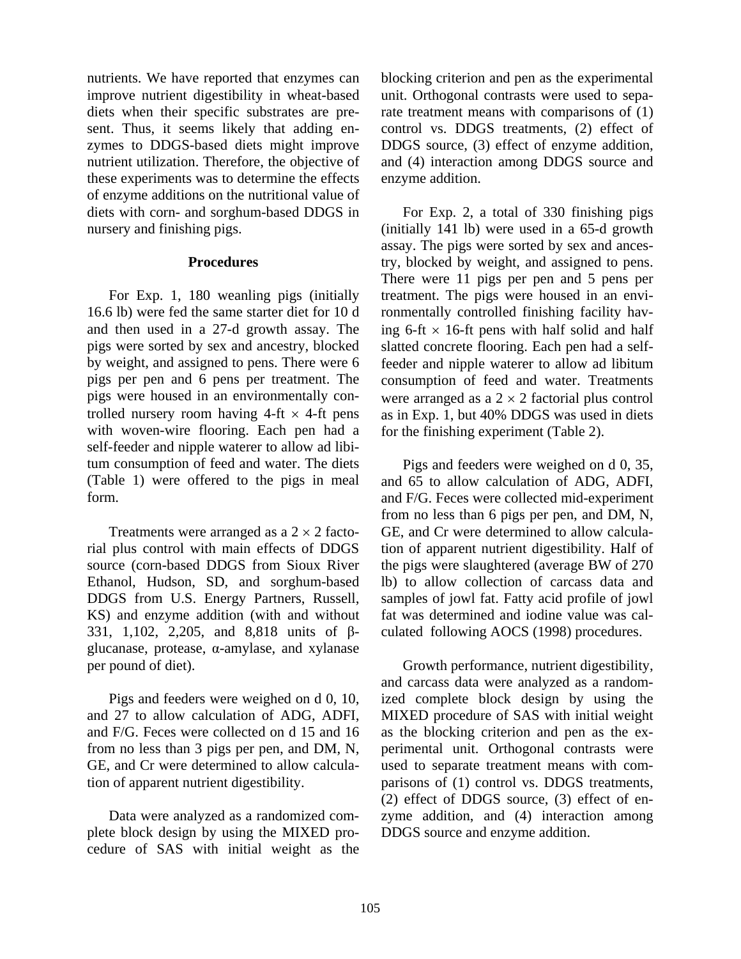nutrients. We have reported that enzymes can improve nutrient digestibility in wheat-based diets when their specific substrates are present. Thus, it seems likely that adding enzymes to DDGS-based diets might improve nutrient utilization. Therefore, the objective of these experiments was to determine the effects of enzyme additions on the nutritional value of diets with corn- and sorghum-based DDGS in nursery and finishing pigs.

#### **Procedures**

For Exp. 1, 180 weanling pigs (initially 16.6 lb) were fed the same starter diet for 10 d and then used in a 27-d growth assay. The pigs were sorted by sex and ancestry, blocked by weight, and assigned to pens. There were 6 pigs per pen and 6 pens per treatment. The pigs were housed in an environmentally controlled nursery room having  $4\text{-ft} \times 4\text{-ft}$  pens with woven-wire flooring. Each pen had a self-feeder and nipple waterer to allow ad libitum consumption of feed and water. The diets (Table 1) were offered to the pigs in meal form.

Treatments were arranged as a  $2 \times 2$  factorial plus control with main effects of DDGS source (corn-based DDGS from Sioux River Ethanol, Hudson, SD, and sorghum-based DDGS from U.S. Energy Partners, Russell, KS) and enzyme addition (with and without 331, 1,102, 2,205, and 8,818 units of βglucanase, protease, α-amylase, and xylanase per pound of diet).

Pigs and feeders were weighed on d 0, 10, and 27 to allow calculation of ADG, ADFI, and F/G. Feces were collected on d 15 and 16 from no less than 3 pigs per pen, and DM, N, GE, and Cr were determined to allow calculation of apparent nutrient digestibility.

Data were analyzed as a randomized complete block design by using the MIXED procedure of SAS with initial weight as the blocking criterion and pen as the experimental unit. Orthogonal contrasts were used to separate treatment means with comparisons of (1) control vs. DDGS treatments, (2) effect of DDGS source, (3) effect of enzyme addition, and (4) interaction among DDGS source and enzyme addition.

For Exp. 2, a total of 330 finishing pigs (initially 141 lb) were used in a 65-d growth assay. The pigs were sorted by sex and ancestry, blocked by weight, and assigned to pens. There were 11 pigs per pen and 5 pens per treatment. The pigs were housed in an environmentally controlled finishing facility having 6-ft  $\times$  16-ft pens with half solid and half slatted concrete flooring. Each pen had a selffeeder and nipple waterer to allow ad libitum consumption of feed and water. Treatments were arranged as a  $2 \times 2$  factorial plus control as in Exp. 1, but 40% DDGS was used in diets for the finishing experiment (Table 2).

Pigs and feeders were weighed on d 0, 35, and 65 to allow calculation of ADG, ADFI, and F/G. Feces were collected mid-experiment from no less than 6 pigs per pen, and DM, N, GE, and Cr were determined to allow calculation of apparent nutrient digestibility. Half of the pigs were slaughtered (average BW of 270 lb) to allow collection of carcass data and samples of jowl fat. Fatty acid profile of jowl fat was determined and iodine value was calculated following AOCS (1998) procedures.

Growth performance, nutrient digestibility, and carcass data were analyzed as a randomized complete block design by using the MIXED procedure of SAS with initial weight as the blocking criterion and pen as the experimental unit. Orthogonal contrasts were used to separate treatment means with comparisons of (1) control vs. DDGS treatments, (2) effect of DDGS source, (3) effect of enzyme addition, and (4) interaction among DDGS source and enzyme addition.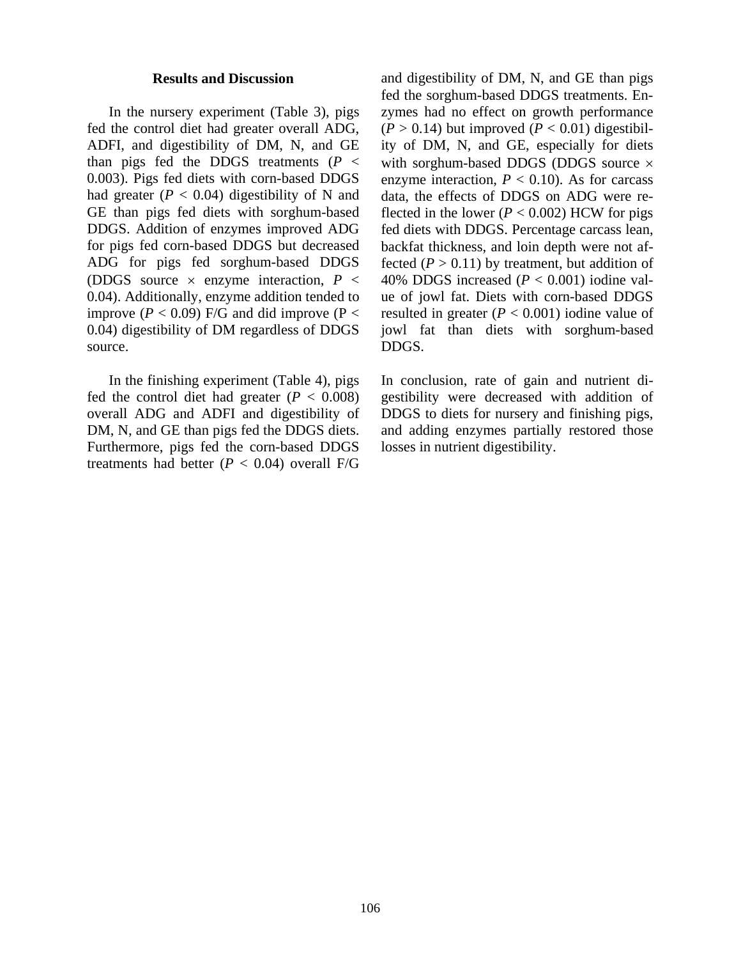#### **Results and Discussion**

In the nursery experiment (Table 3), pigs fed the control diet had greater overall ADG, ADFI, and digestibility of DM, N, and GE than pigs fed the DDGS treatments  $(P \leq$ 0.003). Pigs fed diets with corn-based DDGS had greater  $(P < 0.04)$  digestibility of N and GE than pigs fed diets with sorghum-based DDGS. Addition of enzymes improved ADG for pigs fed corn-based DDGS but decreased ADG for pigs fed sorghum-based DDGS (DDGS source  $\times$  enzyme interaction,  $P \lt \sqrt{P}$ 0.04). Additionally, enzyme addition tended to improve ( $P < 0.09$ ) F/G and did improve ( $P <$ 0.04) digestibility of DM regardless of DDGS source.

In the finishing experiment (Table 4), pigs fed the control diet had greater  $(P < 0.008)$ overall ADG and ADFI and digestibility of DM, N, and GE than pigs fed the DDGS diets. Furthermore, pigs fed the corn-based DDGS treatments had better (*P* < 0.04) overall F/G and digestibility of DM, N, and GE than pigs fed the sorghum-based DDGS treatments. Enzymes had no effect on growth performance  $(P > 0.14)$  but improved  $(P < 0.01)$  digestibility of DM, N, and GE, especially for diets with sorghum-based DDGS (DDGS source  $\times$ enzyme interaction,  $P < 0.10$ ). As for carcass data, the effects of DDGS on ADG were reflected in the lower  $(P < 0.002)$  HCW for pigs fed diets with DDGS. Percentage carcass lean, backfat thickness, and loin depth were not affected  $(P > 0.11)$  by treatment, but addition of 40% DDGS increased  $(P < 0.001)$  iodine value of jowl fat. Diets with corn-based DDGS resulted in greater  $(P < 0.001)$  iodine value of jowl fat than diets with sorghum-based DDGS.

In conclusion, rate of gain and nutrient digestibility were decreased with addition of DDGS to diets for nursery and finishing pigs, and adding enzymes partially restored those losses in nutrient digestibility.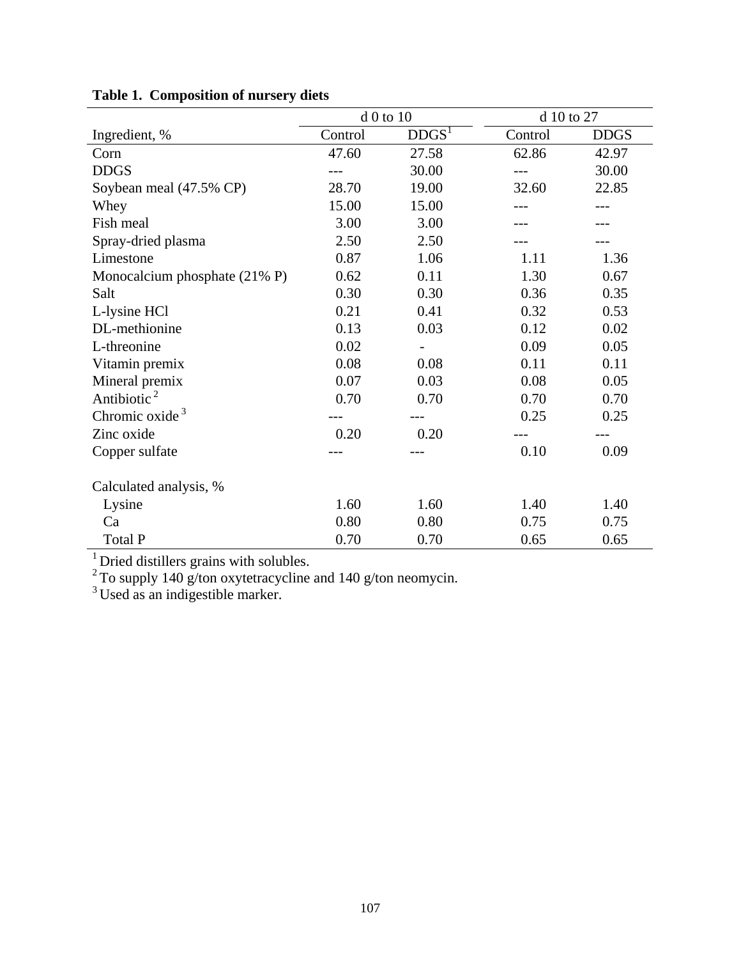|                               |         | d 0 to 10         | d 10 to 27 |             |  |  |
|-------------------------------|---------|-------------------|------------|-------------|--|--|
| Ingredient, %                 | Control | DDGS <sup>1</sup> | Control    | <b>DDGS</b> |  |  |
| Corn                          | 47.60   | 27.58             | 62.86      | 42.97       |  |  |
| <b>DDGS</b>                   |         | 30.00             |            | 30.00       |  |  |
| Soybean meal (47.5% CP)       | 28.70   | 19.00             | 32.60      | 22.85       |  |  |
| Whey                          | 15.00   | 15.00             |            |             |  |  |
| Fish meal                     | 3.00    | 3.00              |            |             |  |  |
| Spray-dried plasma            | 2.50    | 2.50              |            |             |  |  |
| Limestone                     | 0.87    | 1.06              | 1.11       | 1.36        |  |  |
| Monocalcium phosphate (21% P) | 0.62    | 0.11              | 1.30       | 0.67        |  |  |
| Salt                          | 0.30    | 0.30              | 0.36       | 0.35        |  |  |
| L-lysine HCl                  | 0.21    | 0.41              | 0.32       | 0.53        |  |  |
| DL-methionine                 | 0.13    | 0.03              | 0.12       | 0.02        |  |  |
| L-threonine                   | 0.02    |                   | 0.09       | 0.05        |  |  |
| Vitamin premix                | 0.08    | 0.08              | 0.11       | 0.11        |  |  |
| Mineral premix                | 0.07    | 0.03              | 0.08       | 0.05        |  |  |
| Antibiotic <sup>2</sup>       | 0.70    | 0.70              | 0.70       | 0.70        |  |  |
| Chromic oxide $3$             |         |                   | 0.25       | 0.25        |  |  |
| Zinc oxide                    | 0.20    | 0.20              |            |             |  |  |
| Copper sulfate                |         |                   | 0.10       | 0.09        |  |  |
| Calculated analysis, %        |         |                   |            |             |  |  |
| Lysine                        | 1.60    | 1.60              | 1.40       | 1.40        |  |  |
| Ca                            | 0.80    | 0.80              | 0.75       | 0.75        |  |  |
| Total P                       | 0.70    | 0.70              | 0.65       | 0.65        |  |  |

# **Table 1. Composition of nursery diets**

<sup>1</sup> Dried distillers grains with solubles.

 $2^2$  To supply 140 g/ton oxytetracycline and 140 g/ton neomycin.

<sup>3</sup> Used as an indigestible marker.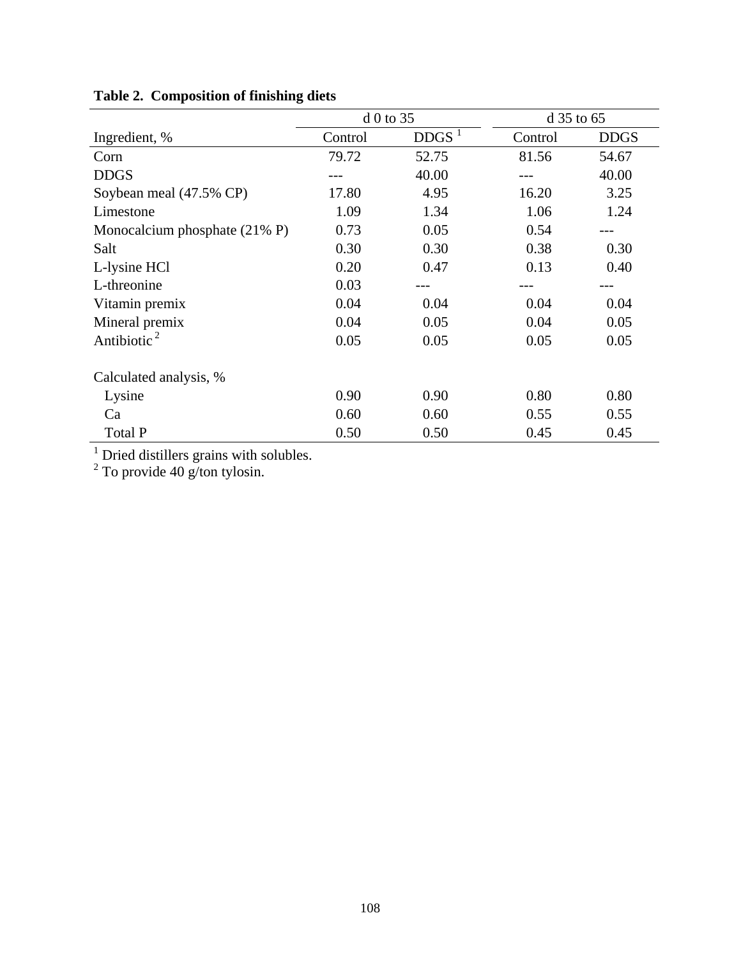|                               | $d$ 0 to 35 |                     | d 35 to 65 |             |
|-------------------------------|-------------|---------------------|------------|-------------|
| Ingredient, %                 | Control     | $DDGS$ <sup>1</sup> | Control    | <b>DDGS</b> |
| Corn                          | 79.72       | 52.75               | 81.56      | 54.67       |
| <b>DDGS</b>                   |             | 40.00               |            | 40.00       |
| Soybean meal (47.5% CP)       | 17.80       | 4.95                | 16.20      | 3.25        |
| Limestone                     | 1.09        | 1.34                | 1.06       | 1.24        |
| Monocalcium phosphate (21% P) | 0.73        | 0.05                | 0.54       |             |
| Salt                          | 0.30        | 0.30                | 0.38       | 0.30        |
| L-lysine HCl                  | 0.20        | 0.47                | 0.13       | 0.40        |
| L-threonine                   | 0.03        | ---                 | $---$      | ---         |
| Vitamin premix                | 0.04        | 0.04                | 0.04       | 0.04        |
| Mineral premix                | 0.04        | 0.05                | 0.04       | 0.05        |
| Antibiotic <sup>2</sup>       | 0.05        | 0.05                | 0.05       | 0.05        |
| Calculated analysis, %        |             |                     |            |             |
| Lysine                        | 0.90        | 0.90                | 0.80       | 0.80        |
| Ca                            | 0.60        | 0.60                | 0.55       | 0.55        |
| Total P                       | 0.50        | 0.50                | 0.45       | 0.45        |

## **Table 2. Composition of finishing diets**

<sup>1</sup> Dried distillers grains with solubles.<br><sup>2</sup> To provide 40 g/ton tylosin.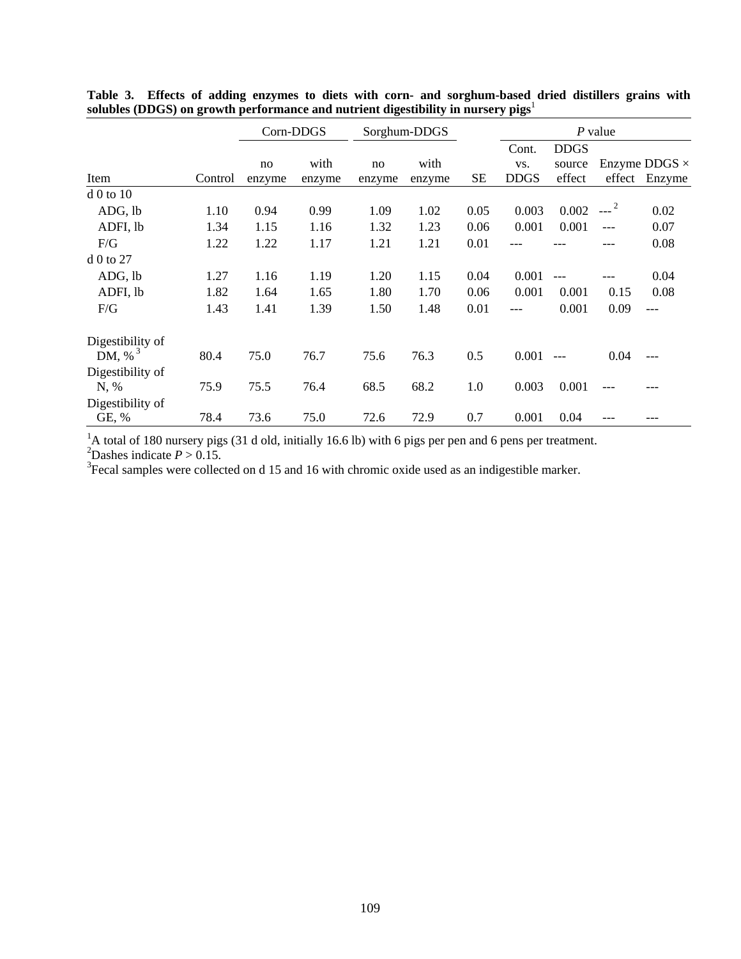|                           | Corn-DDGS |        |        | Sorghum-DDGS |        |           | P value     |             |        |                      |
|---------------------------|-----------|--------|--------|--------------|--------|-----------|-------------|-------------|--------|----------------------|
|                           |           |        |        |              |        |           | Cont.       | <b>DDGS</b> |        |                      |
|                           |           | no     | with   | no           | with   |           | VS.         | source      |        | Enzyme DDGS $\times$ |
| Item                      | Control   | enzyme | enzyme | enzyme       | enzyme | <b>SE</b> | <b>DDGS</b> | effect      | effect | Enzyme               |
| $d\ 0$ to $10$            |           |        |        |              |        |           |             |             |        |                      |
| ADG, lb                   | 1.10      | 0.94   | 0.99   | 1.09         | 1.02   | 0.05      | 0.003       | 0.002       |        | 0.02                 |
| ADFI, lb                  | 1.34      | 1.15   | 1.16   | 1.32         | 1.23   | 0.06      | 0.001       | 0.001       | $---$  | 0.07                 |
| F/G                       | 1.22      | 1.22   | 1.17   | 1.21         | 1.21   | 0.01      |             |             | ---    | 0.08                 |
| $d0$ to 27                |           |        |        |              |        |           |             |             |        |                      |
| ADG, lb                   | 1.27      | 1.16   | 1.19   | 1.20         | 1.15   | 0.04      | 0.001       | $---$       |        | 0.04                 |
| ADFI, lb                  | 1.82      | 1.64   | 1.65   | 1.80         | 1.70   | 0.06      | 0.001       | 0.001       | 0.15   | 0.08                 |
| F/G                       | 1.43      | 1.41   | 1.39   | 1.50         | 1.48   | 0.01      |             | 0.001       | 0.09   | $---$                |
| Digestibility of          |           |        |        |              |        |           |             |             |        |                      |
| DM, % $3$                 | 80.4      | 75.0   | 76.7   | 75.6         | 76.3   | 0.5       | 0.001       | $---$       | 0.04   |                      |
| Digestibility of          |           |        |        |              |        |           |             |             |        |                      |
| N, %                      | 75.9      | 75.5   | 76.4   | 68.5         | 68.2   | 1.0       | 0.003       | 0.001       | $---$  |                      |
| Digestibility of<br>GE, % | 78.4      | 73.6   | 75.0   | 72.6         | 72.9   | 0.7       | 0.001       | 0.04        |        |                      |

**Table 3. Effects of adding enzymes to diets with corn- and sorghum-based dried distillers grains with**  solubles (DDGS) on growth performance and nutrient digestibility in nursery pigs<sup>1</sup>

<sup>1</sup>A total of 180 nursery pigs (31 d old, initially 16.6 lb) with 6 pigs per pen and 6 pens per treatment.<br><sup>2</sup>Dashes indicate *P* > 0.15.

 $3$ Fecal samples were collected on d 15 and 16 with chromic oxide used as an indigestible marker.